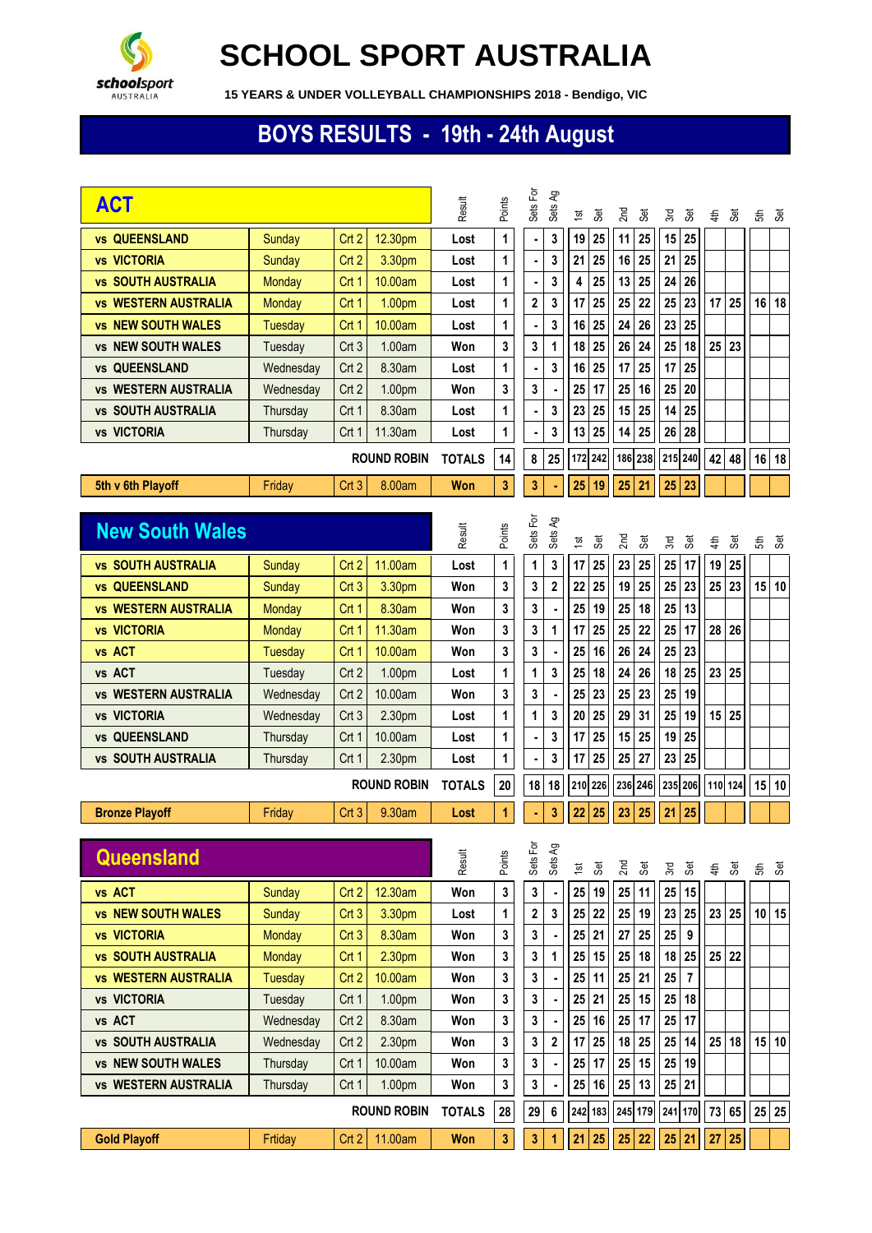

## **SCHOOL SPORT AUSTRALIA**

**15 YEARS & UNDER VOLLEYBALL CHAMPIONSHIPS 2018 - Bendigo, VIC**

## **BOYS RESULTS - 19th - 24th August**

| <b>ACT</b>                                      |                    |                           |                   | Result        | Points | Sets For | Sets Ag                 | <b>Set</b><br>$\frac{1}{2}$ | 2 <sub>nd</sub><br><b>Set</b> | Set<br>3rd                       | 4th             | 3et     | £               | යි        |
|-------------------------------------------------|--------------------|---------------------------|-------------------|---------------|--------|----------|-------------------------|-----------------------------|-------------------------------|----------------------------------|-----------------|---------|-----------------|-----------|
| <b>vs QUEENSLAND</b>                            | Sunday             | Crt <sub>2</sub>          | 12.30pm           | Lost          | 1      | ٠        | 3                       | 25<br>19                    | 11<br>25                      | 15<br>25                         |                 |         |                 |           |
| <b>vs VICTORIA</b>                              | Sunday             | Crt <sub>2</sub>          | 3.30pm            | Lost          | 1      | ٠        | 3                       | 25<br>21                    | 25<br>16                      | 25<br>21                         |                 |         |                 |           |
| <b>vs SOUTH AUSTRALIA</b>                       | <b>Monday</b>      | Crt 1                     | 10.00am           | Lost          | 1      |          | 3                       | 25<br>4                     | 13<br>25                      | 26<br>24                         |                 |         |                 |           |
| <b>vs WESTERN AUSTRALIA</b>                     | <b>Monday</b>      | Crt 1                     | 1.00pm            | Lost          | 1      | 2        | 3                       | 25<br>17                    | 22<br>25                      | 25<br>23                         | 17              | 25      | 16              | 18        |
| <b>vs NEW SOUTH WALES</b>                       | <b>Tuesday</b>     | Crt 1                     | 10.00am           | Lost          | 1      |          | 3                       | 25<br>16                    | 24<br>26                      | 25<br>23                         |                 |         |                 |           |
| <b>vs NEW SOUTH WALES</b>                       | Tuesday            | Crt3                      | 1.00am            | Won           | 3      | 3        | 1                       | 25<br>18                    | 24<br>26                      | 25<br>18                         | 25              | 23      |                 |           |
| <b>QUEENSLAND</b><br><b>VS</b>                  | Wednesday          | Crt <sub>2</sub>          | 8.30am            | Lost          | 1      |          | 3                       | 25<br>16                    | 17<br>25                      | 25<br>17                         |                 |         |                 |           |
| <b>vs WESTERN AUSTRALIA</b>                     | Wednesday          | Crt <sub>2</sub>          | 1.00pm            | Won           | 3      | 3        |                         | 17<br>25                    | 16<br>25                      | 25<br>20                         |                 |         |                 |           |
| <b>vs SOUTH AUSTRALIA</b>                       | Thursday           | Crt 1                     | 8.30am            | Lost          | 1      |          | 3                       | 23<br>25                    | 15<br>25                      | 25<br>14                         |                 |         |                 |           |
| <b>vs VICTORIA</b>                              | Thursday           | Crt 1                     | 11.30am           | Lost          | 1      |          | 3                       | 13<br>25                    | 14<br>25                      | 28<br>26                         |                 |         |                 |           |
| <b>ROUND ROBIN</b>                              |                    |                           |                   | <b>TOTALS</b> | 14     | 8        | 25                      | 172 242                     | 238<br>186                    | 215 240                          | 42              | 48      | 16              | 18        |
| 5th v 6th Playoff                               | Friday             | Crt3                      | 8.00am            | Won           | 3      | 3        |                         | 25<br>19                    | 25<br>21                      | 25<br>23                         |                 |         |                 |           |
|                                                 |                    |                           |                   |               |        |          |                         |                             |                               |                                  |                 |         |                 |           |
| <b>New South Wales</b>                          |                    |                           |                   | Result        | Points | Sets For | Sets Ag                 | Set<br>15t                  | 2 <sub>nd</sub><br><b>Set</b> | Set<br>3rd                       | 4th             | Set     | 5f              | යි        |
| <b>vs SOUTH AUSTRALIA</b>                       | Sunday             | Crt <sub>2</sub>          | 11.00am           | Lost          | 1      | 1        | 3                       | 25<br>17                    | 23<br>25                      | 25<br>17                         | 19              | 25      |                 |           |
| <b>QUEENSLAND</b><br><b>VS</b>                  | Sunday             | Crt <sub>3</sub>          | 3.30pm            | Won           | 3      | 3        | $\overline{\mathbf{c}}$ | 25<br>22                    | 19<br>25                      | 23<br>25                         | 25              | 23      | 15 <sup>1</sup> | 10        |
| <b>vs WESTERN AUSTRALIA</b>                     | <b>Monday</b>      | Crt 1                     | 8.30am            | Won           | 3      | 3        |                         | 19<br>25                    | 18<br>25                      | 13<br>25                         |                 |         |                 |           |
| <b>vs VICTORIA</b>                              | <b>Monday</b>      | Crt 1                     | 11.30am           | Won           | 3      | 3        | 1                       | 25<br>17                    | 25<br>22                      | 25<br>17                         | 28              | 26      |                 |           |
| vs ACT                                          | <b>Tuesday</b>     | Crt 1                     | 10.00am           | Won           | 3      | 3        |                         | 16<br>25                    | 26<br>24                      | 23<br>25                         |                 |         |                 |           |
| vs ACT                                          | Tuesday            | Crt <sub>2</sub>          | 1.00pm            | Lost          | 1      | 1        | 3                       | 25<br>18                    | 26<br>24                      | 25<br>18                         | 23              | 25      |                 |           |
| <b>vs WESTERN AUSTRALIA</b>                     | Wednesday          | Crt <sub>2</sub>          | 10.00am           | Won           | 3      | 3        |                         | 25<br>23                    | 25<br>23                      | 19<br>25                         |                 |         |                 |           |
| <b>vs VICTORIA</b>                              | Wednesday          | Crt <sub>3</sub>          | 2.30pm            | Lost          | 1      | 1        | 3                       | 20<br>25                    | 31<br>29                      | 25<br>19                         |                 | 15 25   |                 |           |
| <b>QUEENSLAND</b><br><b>VS</b>                  | Thursday           | Crt 1                     | 10.00am           | Lost          | 1      | ۰        | 3                       | 25<br>17                    | 15<br>25                      | 25<br>19                         |                 |         |                 |           |
| vs SOUTH AUSTRALIA                              | Thursday           | Crt 1                     | 2.30pm            | Lost          | 1      |          | 3                       | 25<br>17                    | 27<br>25                      | 23<br>25                         |                 |         |                 |           |
| <b>ROUND ROBIN</b>                              |                    |                           |                   | <b>TOTALS</b> | 20     | 18       | 18                      | 210 226                     | 236<br>246                    | 235 206                          |                 | 110 124 |                 | $15$   10 |
| <b>Bronze Playoff</b>                           | Friday             | Crt <sub>3</sub>          | 9.30am            | Lost          | 1      | ٠        | 3                       | 22<br>25                    | 23<br>25                      | 21<br>25                         |                 |         |                 |           |
| Queensland                                      |                    |                           |                   | Result        | Points | Sets For | Sets Ag                 |                             |                               |                                  |                 |         |                 |           |
|                                                 |                    |                           |                   |               |        |          |                         | Set<br>$\tilde{\mathbf{S}}$ | 2 <sub>nd</sub><br>Šēt        | 3rd<br>Šēt                       | 4 <sup>th</sup> | යි      |                 | ಕೆ ತ      |
| vs ACT<br><b>vs NEW SOUTH WALES</b>             | Sunday             | Crt <sub>2</sub>          | 12.30am           | Won           | 3      | 3        |                         | 25<br>19                    | 25<br>11                      | 15<br>25                         |                 |         |                 | 10 15     |
|                                                 | Sunday             | Crt3                      | 3.30pm            | Lost          | 1      | 2        | 3                       | 25<br>22                    | 25<br>19                      | 25<br>23                         |                 | 23 25   |                 |           |
| <b>vs VICTORIA</b><br><b>vs SOUTH AUSTRALIA</b> | <b>Monday</b>      | Crt <sub>3</sub>          | 8.30am            | Won           | 3      | 3        |                         | 21<br>25                    | 27<br>25<br>18                | 25<br>9<br>25<br>18              |                 |         |                 |           |
| <b>vs WESTERN AUSTRALIA</b>                     | Monday             | Crt 1                     | 2.30pm            | Won           | 3      | 3        | 1                       | 25 15<br>11                 | 25<br>21                      |                                  |                 | 25 22   |                 |           |
| <b>vs VICTORIA</b>                              | Tuesday<br>Tuesday | Crt <sub>2</sub><br>Crt 1 | 10.00am<br>1.00pm | Won<br>Won    | 3<br>3 | 3<br>3   |                         | 25<br>21<br>25              | 25<br>25<br>15                | 25<br>$\overline{7}$<br>25<br>18 |                 |         |                 |           |
| vs ACT                                          | Wednesday          | Crt 2                     | 8.30am            | Won           | 3      | 3        |                         | 16<br>25                    | 25<br>17                      | 25<br>17                         |                 |         |                 |           |
| <b>vs SOUTH AUSTRALIA</b>                       | Wednesday          | Crt 2                     | 2.30pm            | Won           | 3      | 3        | 2                       | 25<br>17                    | 25<br>18                      | 25<br>14                         |                 | 25 18   |                 | 15 10     |
| <b>vs NEW SOUTH WALES</b>                       | Thursday           | Crt 1                     | 10.00am           | Won           | 3      | 3        |                         | 25<br>17                    | 25<br>15                      | 19<br>25                         |                 |         |                 |           |
| <b>vs WESTERN AUSTRALIA</b>                     | Thursday           | Crt 1                     | 1.00pm            | Won           | 3      | 3        |                         | 25<br>16                    | 13<br>25                      | 25<br>21                         |                 |         |                 |           |
| <b>ROUND ROBIN</b>                              |                    |                           |                   | <b>TOTALS</b> | 28     | 29       | 6                       | 242 183                     | 245 179                       | 241 170                          |                 | 73 65   |                 | $25$ 25   |
| <b>Gold Playoff</b>                             | Frtiday            | Crt2                      | 11.00am           | Won           | 3      | 3        | 1                       | 21<br>25                    | 25<br>22                      | 25 21                            | 27              | 25      |                 |           |